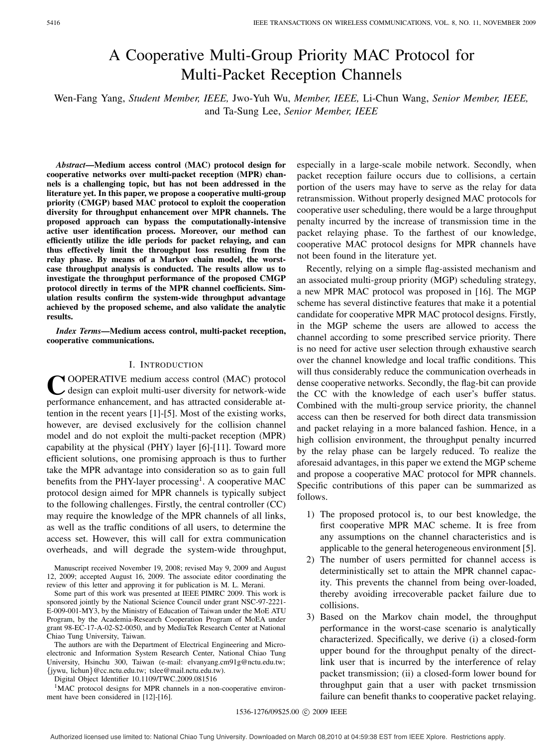# A Cooperative Multi-Group Priority MAC Protocol for Multi-Packet Reception Channels

Wen-Fang Yang, *Student Member, IEEE,* Jwo-Yuh Wu, *Member, IEEE,* Li-Chun Wang, *Senior Member, IEEE,* and Ta-Sung Lee, *Senior Member, IEEE*

*Abstract***—Medium access control (MAC) protocol design for cooperative networks over multi-packet reception (MPR) channels is a challenging topic, but has not been addressed in the literature yet. In this paper, we propose a cooperative multi-group priority (CMGP) based MAC protocol to exploit the cooperation diversity for throughput enhancement over MPR channels. The proposed approach can bypass the computationally-intensive active user identication process. Moreover, our method can efciently utilize the idle periods for packet relaying, and can thus effectively limit the throughput loss resulting from the relay phase. By means of a Markov chain model, the worstcase throughput analysis is conducted. The results allow us to investigate the throughput performance of the proposed CMGP** protocol directly in terms of the MPR channel coefficients. Simulation results confirm the system-wide throughput advantage **achieved by the proposed scheme, and also validate the analytic results.**

*Index Terms***—Medium access control, multi-packet reception, cooperative communications.**

## I. INTRODUCTION

**COOPERATIVE medium access control (MAC) protocol** design can exploit multi-user diversity for network-wide performance enhancement, and has attracted considerable attention in the recent years [1]-[5]. Most of the existing works, however, are devised exclusively for the collision channel model and do not exploit the multi-packet reception (MPR) capability at the physical (PHY) layer [6]-[11]. Toward more efficient solutions, one promising approach is thus to further take the MPR advantage into consideration so as to gain full benefits from the PHY-layer processing<sup>1</sup>. A cooperative MAC protocol design aimed for MPR channels is typically subject to the following challenges. Firstly, the central controller (CC) may require the knowledge of the MPR channels of all links, as well as the traffic conditions of all users, to determine the access set. However, this will call for extra communication overheads, and will degrade the system-wide throughput,

Manuscript received November 19, 2008; revised May 9, 2009 and August 12, 2009; accepted August 16, 2009. The associate editor coordinating the review of this letter and approving it for publication is M. L. Merani.

Some part of this work was presented at IEEE PIMRC 2009. This work is sponsored jointly by the National Science Council under grant NSC-97-2221- E-009-001-MY3, by the Ministry of Education of Taiwan under the MoE ATU Program, by the Academia-Research Cooperation Program of MoEA under grant 98-EC-17-A-02-S2-0050, and by MediaTek Research Center at National Chiao Tung University, Taiwan.

The authors are with the Department of Electrical Engineering and Microelectronic and Information System Research Center, National Chiao Tung University, Hsinchu 300, Taiwan (e-mail: elvanyang.cm91g@nctu.edu.tw; {jywu, lichun}@cc.nctu.edu.tw; tslee@mail.nctu.edu.tw).

Digital Object Identifier 10.1109/TWC.2009.081516

<sup>1</sup>MAC protocol designs for MPR channels in a non-cooperative environment have been considered in [12]-[16].

especially in a large-scale mobile network. Secondly, when packet reception failure occurs due to collisions, a certain portion of the users may have to serve as the relay for data retransmission. Without properly designed MAC protocols for cooperative user scheduling, there would be a large throughput penalty incurred by the increase of transmission time in the packet relaying phase. To the farthest of our knowledge, cooperative MAC protocol designs for MPR channels have not been found in the literature yet.

Recently, relying on a simple flag-assisted mechanism and an associated multi-group priority (MGP) scheduling strategy, a new MPR MAC protocol was proposed in [16]. The MGP scheme has several distinctive features that make it a potential candidate for cooperative MPR MAC protocol designs. Firstly, in the MGP scheme the users are allowed to access the channel according to some prescribed service priority. There is no need for active user selection through exhaustive search over the channel knowledge and local traffic conditions. This will thus considerably reduce the communication overheads in dense cooperative networks. Secondly, the flag-bit can provide the CC with the knowledge of each user's buffer status. Combined with the multi-group service priority, the channel access can then be reserved for both direct data transmission and packet relaying in a more balanced fashion. Hence, in a high collision environment, the throughput penalty incurred by the relay phase can be largely reduced. To realize the aforesaid advantages, in this paper we extend the MGP scheme and propose a cooperative MAC protocol for MPR channels. Specific contributions of this paper can be summarized as follows.

- 1) The proposed protocol is, to our best knowledge, the first cooperative MPR MAC scheme. It is free from any assumptions on the channel characteristics and is applicable to the general heterogeneous environment [5].
- 2) The number of users permitted for channel access is deterministically set to attain the MPR channel capacity. This prevents the channel from being over-loaded, thereby avoiding irrecoverable packet failure due to collisions.
- 3) Based on the Markov chain model, the throughput performance in the worst-case scenario is analytically characterized. Specifically, we derive (i) a closed-form upper bound for the throughput penalty of the directlink user that is incurred by the interference of relay packet transmission; (ii) a closed-form lower bound for throughput gain that a user with packet trnsmission failure can benefit thanks to cooperative packet relaying.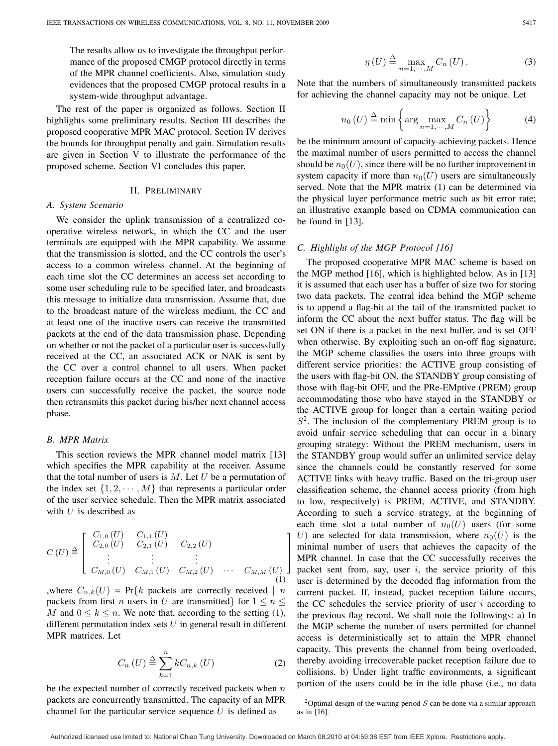The results allow us to investigate the throughput performance of the proposed CMGP protocol directly in terms of the MPR channel coefficients. Also, simulation study evidences that the proposed CMGP protocal results in a system-wide throughput advantage.

The rest of the paper is organized as follows. Section II highlights some preliminary results. Section III describes the proposed cooperative MPR MAC protocol. Section IV derives the bounds for throughput penalty and gain. Simulation results are given in Section V to illustrate the performance of the proposed scheme. Section VI concludes this paper.

#### II. PRELIMINARY

#### *A. System Scenario*

We consider the uplink transmission of a centralized cooperative wireless network, in which the CC and the user terminals are equipped with the MPR capability. We assume that the transmission is slotted, and the CC controls the user's access to a common wireless channel. At the beginning of each time slot the CC determines an access set according to some user scheduling rule to be specified later, and broadcasts this message to initialize data transmission. Assume that, due to the broadcast nature of the wireless medium, the CC and at least one of the inactive users can receive the transmitted packets at the end of the data transmission phase. Depending on whether or not the packet of a particular user is successfully received at the CC, an associated ACK or NAK is sent by the CC over a control channel to all users. When packet reception failure occurs at the CC and none of the inactive users can successfully receive the packet, the source node then retransmits this packet during his/her next channel access phase.

## *B. MPR Matrix*

This section reviews the MPR channel model matrix [13] which specifies the MPR capability at the receiver. Assume that the total number of users is  $M$ . Let  $U$  be a permutation of the index set  $\{1, 2, \cdots, M\}$  that represents a particular order of the user service schedule. Then the MPR matrix associated with  $U$  is described as

𝐶 (𝑈) <sup>Δ</sup> = ⎡ ⎢ ⎢ ⎣ 𝐶1,<sup>0</sup> (𝑈) 𝐶1,<sup>1</sup> (𝑈) 𝐶2,<sup>0</sup> (𝑈) 𝐶2,<sup>1</sup> (𝑈) 𝐶2,<sup>2</sup> (𝑈) . . . . . . . . . 𝐶𝑀,<sup>0</sup> (𝑈) 𝐶𝑀,<sup>1</sup> (𝑈) 𝐶𝑀,<sup>2</sup> (𝑈) ⋅⋅⋅ 𝐶𝑀,𝑀 (𝑈) ⎤ ⎥ ⎥ ⎦ (1)

,where  $C_{n,k}(U) = Pr\{k \text{ packets are correctly received } | n$ packets from first *n* users in *U* are transmitted} for  $1 \le n \le$ M and  $0 \leq k \leq n$ . We note that, according to the setting (1), different permutation index sets  $U$  in general result in different MPR matrices. Let

$$
C_n\left(U\right) \stackrel{\Delta}{=} \sum_{k=1}^n k C_{n,k}\left(U\right) \tag{2}
$$

be the expected number of correctly received packets when  $n$ packets are concurrently transmitted. The capacity of an MPR channel for the particular service sequence  $U$  is defined as

$$
\eta\left(U\right) \stackrel{\Delta}{=} \max_{n=1,\cdots,M} C_n\left(U\right). \tag{3}
$$

Note that the numbers of simultaneously transmitted packets for achieving the channel capacity may not be unique. Let

$$
n_0\left(U\right) \stackrel{\Delta}{=} \min\left\{\arg\max_{n=1,\cdots,M} C_n\left(U\right)\right\} \tag{4}
$$

be the minimum amount of capacity-achieving packets. Hence the maximal number of users permitted to access the channel should be  $n_0(U)$ , since there will be no further improvement in system capacity if more than  $n_0(U)$  users are simultaneously served. Note that the MPR matrix (1) can be determined via the physical layer performance metric such as bit error rate; an illustrative example based on CDMA communication can be found in [13].

## *C. Highlight of the MGP Protocol [16]*

The proposed cooperative MPR MAC scheme is based on the MGP method [16], which is highlighted below. As in [13] it is assumed that each user has a buffer of size two for storing two data packets. The central idea behind the MGP scheme is to append a flag-bit at the tail of the transmitted packet to inform the CC about the next buffer status. The flag will be set ON if there is a packet in the next buffer, and is set OFF when otherwise. By exploiting such an on-off flag signature, the MGP scheme classifies the users into three groups with different service priorities: the ACTIVE group consisting of the users with flag-bit ON, the STANDBY group consisting of those with flag-bit OFF, and the PRe-EMptive (PREM) group accommodating those who have stayed in the STANDBY or the ACTIVE group for longer than a certain waiting period  $S<sup>2</sup>$ . The inclusion of the complementary PREM group is to avoid unfair service scheduling that can occur in a binary grouping strategy: Without the PREM mechanism, users in the STANDBY group would suffer an unlimited service delay since the channels could be constantly reserved for some ACTIVE links with heavy traffic. Based on the tri-group user classification scheme, the channel access priority (from high to low, respectively) is PREM, ACTIVE, and STANDBY. According to such a service strategy, at the beginning of each time slot a total number of  $n_0(U)$  users (for some U) are selected for data transmission, where  $n_0(U)$  is the minimal number of users that achieves the capacity of the MPR channel. In case that the CC successfully receives the packet sent from, say, user  $i$ , the service priority of this user is determined by the decoded flag information from the current packet. If, instead, packet reception failure occurs, the CC schedules the service priority of user  $i$  according to the previous flag record. We shall note the followings: a) In the MGP scheme the number of users permitted for channel access is deterministically set to attain the MPR channel capacity. This prevents the channel from being overloaded, thereby avoiding irrecoverable packet reception failure due to collisions. b) Under light traffic environments, a significant portion of the users could be in the idle phase (i.e., no data

<sup>&</sup>lt;sup>2</sup>Optimal design of the waiting period  $S$  can be done via a similar approach as in [16].

Authorized licensed use limited to: National Chiao Tung University. Downloaded on March 08,2010 at 04:59:38 EST from IEEE Xplore. Restrictions apply.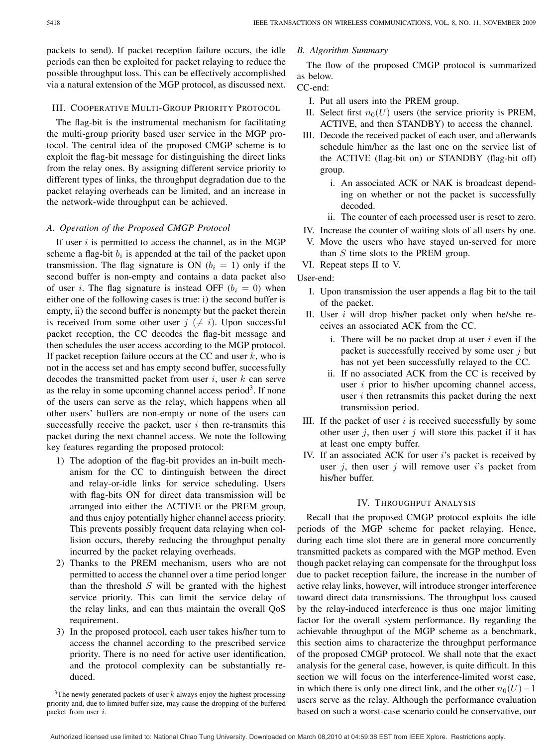packets to send). If packet reception failure occurs, the idle periods can then be exploited for packet relaying to reduce the possible throughput loss. This can be effectively accomplished via a natural extension of the MGP protocol, as discussed next.

## III. COOPERATIVE MULTI-GROUP PRIORITY PROTOCOL

The flag-bit is the instrumental mechanism for facilitating the multi-group priority based user service in the MGP protocol. The central idea of the proposed CMGP scheme is to exploit the flag-bit message for distinguishing the direct links from the relay ones. By assigning different service priority to different types of links, the throughput degradation due to the packet relaying overheads can be limited, and an increase in the network-wide throughput can be achieved.

## *A. Operation of the Proposed CMGP Protocol*

If user  $i$  is permitted to access the channel, as in the MGP scheme a flag-bit  $b_i$  is appended at the tail of the packet upon transmission. The flag signature is ON  $(b_i = 1)$  only if the second buffer is non-empty and contains a data packet also of user *i*. The flag signature is instead OFF ( $b_i = 0$ ) when either one of the following cases is true: i) the second buffer is empty, ii) the second buffer is nonempty but the packet therein is received from some other user  $j \neq i$ ). Upon successful packet reception, the CC decodes the flag-bit message and then schedules the user access according to the MGP protocol. If packet reception failure occurs at the CC and user  $k$ , who is not in the access set and has empty second buffer, successfully decodes the transmitted packet from user  $i$ , user  $k$  can serve as the relay in some upcoming channel access period<sup>3</sup>. If none of the users can serve as the relay, which happens when all other users' buffers are non-empty or none of the users can successfully receive the packet, user  $i$  then re-transmits this packet during the next channel access. We note the following key features regarding the proposed protocol:

- 1) The adoption of the flag-bit provides an in-built mechanism for the CC to dintinguish between the direct and relay-or-idle links for service scheduling. Users with flag-bits ON for direct data transmission will be arranged into either the ACTIVE or the PREM group, and thus enjoy potentially higher channel access priority. This prevents possibly frequent data relaying when collision occurs, thereby reducing the throughput penalty incurred by the packet relaying overheads.
- 2) Thanks to the PREM mechanism, users who are not permitted to access the channel over a time period longer than the threshold  $S$  will be granted with the highest service priority. This can limit the service delay of the relay links, and can thus maintain the overall QoS requirement.
- 3) In the proposed protocol, each user takes his/her turn to access the channel according to the prescribed service priority. There is no need for active user identification, and the protocol complexity can be substantially reduced.

## *B. Algorithm Summary*

The flow of the proposed CMGP protocol is summarized as below.

## CC-end:

- I. Put all users into the PREM group.
- II. Select first  $n_0(U)$  users (the service priority is PREM, ACTIVE, and then STANDBY) to access the channel.
- III. Decode the received packet of each user, and afterwards schedule him/her as the last one on the service list of the ACTIVE (flag-bit on) or STANDBY (flag-bit off) group.
	- i. An associated ACK or NAK is broadcast depending on whether or not the packet is successfully decoded.
	- ii. The counter of each processed user is reset to zero.
- IV. Increase the counter of waiting slots of all users by one. V. Move the users who have stayed un-served for more than  $S$  time slots to the PREM group.
- VI. Repeat steps II to V.

User-end:

- I. Upon transmission the user appends a flag bit to the tail of the packet.
- II. User  $i$  will drop his/her packet only when he/she receives an associated ACK from the CC.
	- i. There will be no packet drop at user  $i$  even if the packet is successfully received by some user  $i$  but has not yet been successfully relayed to the CC.
	- ii. If no associated ACK from the CC is received by user  $i$  prior to his/her upcoming channel access, user  $i$  then retransmits this packet during the next transmission period.
- III. If the packet of user  $i$  is received successfully by some other user  $j$ , then user  $j$  will store this packet if it has at least one empty buffer.
- IV. If an associated ACK for user  $i$ 's packet is received by user  $j$ , then user  $j$  will remove user  $i$ 's packet from his/her buffer.

## IV. THROUGHPUT ANALYSIS

Recall that the proposed CMGP protocol exploits the idle periods of the MGP scheme for packet relaying. Hence, during each time slot there are in general more concurrently transmitted packets as compared with the MGP method. Even though packet relaying can compensate for the throughput loss due to packet reception failure, the increase in the number of active relay links, however, will introduce stronger interference toward direct data transmissions. The throughput loss caused by the relay-induced interference is thus one major limiting factor for the overall system performance. By regarding the achievable throughput of the MGP scheme as a benchmark, this section aims to characterize the throughput performance of the proposed CMGP protocol. We shall note that the exact analysis for the general case, however, is quite difficult. In this section we will focus on the interference-limited worst case, in which there is only one direct link, and the other  $n_0(U)-1$ users serve as the relay. Although the performance evaluation based on such a worst-case scenario could be conservative, our

 $3$ The newly generated packets of user  $k$  always enjoy the highest processing priority and, due to limited buffer size, may cause the dropping of the buffered packet from user i.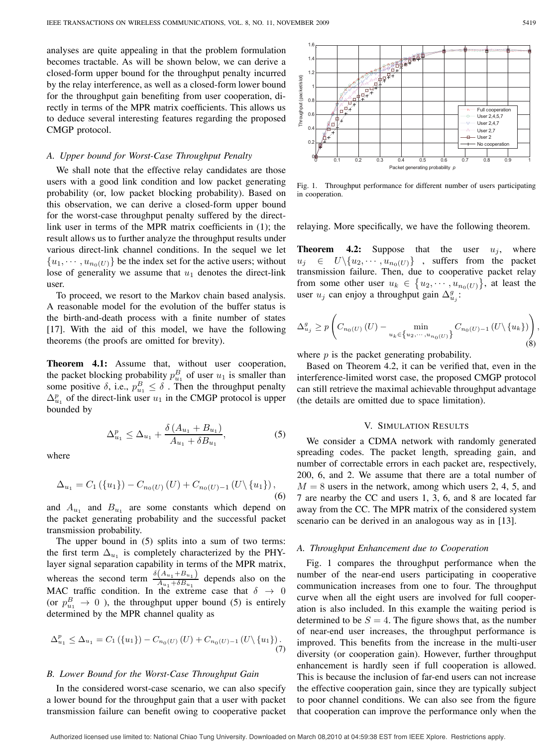analyses are quite appealing in that the problem formulation becomes tractable. As will be shown below, we can derive a closed-form upper bound for the throughput penalty incurred by the relay interference, as well as a closed-form lower bound for the throughput gain benefiting from user cooperation, directly in terms of the MPR matrix coefficients. This allows us to deduce several interesting features regarding the proposed CMGP protocol.

#### *A. Upper bound for Worst-Case Throughput Penalty*

We shall note that the effective relay candidates are those users with a good link condition and low packet generating probability (or, low packet blocking probability). Based on this observation, we can derive a closed-form upper bound for the worst-case throughput penalty suffered by the directlink user in terms of the MPR matrix coefficients in  $(1)$ ; the result allows us to further analyze the throughput results under various direct-link channel conditions. In the sequel we let  $\{u_1, \dots, u_{n_0(U)}\}$  be the index set for the active users; without lose of generality we assume that  $u_1$  denotes the direct-link user.

To proceed, we resort to the Markov chain based analysis. A reasonable model for the evolution of the buffer status is the birth-and-death process with a finite number of states [17]. With the aid of this model, we have the following theorems (the proofs are omitted for brevity).

**Theorem 4.1:** Assume that, without user cooperation, the packet blocking probability  $p_{u_1}^B$  of user  $u_1$  is smaller than some positive  $\delta$ , i.e.,  $p_{u_1}^B \leq \delta$ . Then the throughput penalty  $\Delta_{u_1}^p$  of the direct-link user  $u_1$  in the CMGP protocol is upper bounded by

$$
\Delta_{u_1}^p \le \Delta_{u_1} + \frac{\delta \left( A_{u_1} + B_{u_1} \right)}{A_{u_1} + \delta B_{u_1}},\tag{5}
$$

where

$$
\Delta_{u_1} = C_1 (\{u_1\}) - C_{n_0(U)} (U) + C_{n_0(U)-1} (U \setminus \{u_1\}),
$$
\n(6)

and  $A_{u_1}$  and  $B_{u_1}$  are some constants which depend on the packet generating probability and the successful packet transmission probability.

The upper bound in (5) splits into a sum of two terms: the first term  $\Delta_{u_1}$  is completely characterized by the PHYlayer signal separation capability in terms of the MPR matrix, whereas the second term  $\frac{\delta(A_{u_1}+B_{u_1})}{A_{u_1}+\delta B_{u_1}}$  depends also on the MAC traffic condition. In the extreme case that  $\delta \rightarrow 0$ (or  $p_{u_1}^B \to 0$ ), the throughput upper bound (5) is entirely determined by the MPR channel quality as

$$
\Delta_{u_1}^p \leq \Delta_{u_1} = C_1 (\{u_1\}) - C_{n_0(U)}(U) + C_{n_0(U)-1} (U \setminus \{u_1\}).
$$
\n(7)

## *B. Lower Bound for the Worst-Case Throughput Gain*

In the considered worst-case scenario, we can also specify a lower bound for the throughput gain that a user with packet transmission failure can benefit owing to cooperative packet



Fig. 1. Throughput performance for different number of users participating in cooperation.

relaying. More specifically, we have the following theorem.

**Theorem 4.2:** Suppose that the user  $u_j$ , where  $u_j \in U \setminus \{u_2, \cdots, u_{n_0(U)}\}$ , suffers from the packet transmission failure. Then, due to cooperative packet relay from some other user  $u_k \in \{u_2, \dots, u_{n_0(U)}\}$ , at least the user  $u_j$  can enjoy a throughput gain  $\Delta_{u_j}^g$ :

$$
\Delta_{u_j}^g \ge p \left( C_{n_0(U)} \left( U \right) - \min_{u_k \in \{u_2, \cdots, u_{n_0(U)}\}} C_{n_0(U)-1} \left( U \setminus \{u_k\} \right) \right),\tag{8}
$$

where  $p$  is the packet generating probability.

Based on Theorem 4.2, it can be verified that, even in the interference-limited worst case, the proposed CMGP protocol can still retrieve the maximal achievable throughput advantage (the details are omitted due to space limitation).

## V. SIMULATION RESULTS

We consider a CDMA network with randomly generated spreading codes. The packet length, spreading gain, and number of correctable errors in each packet are, respectively, 200, 6, and 2. We assume that there are a total number of  $M = 8$  users in the network, among which users 2, 4, 5, and 7 are nearby the CC and users 1, 3, 6, and 8 are located far away from the CC. The MPR matrix of the considered system scenario can be derived in an analogous way as in [13].

## *A. Throughput Enhancement due to Cooperation*

Fig. 1 compares the throughput performance when the number of the near-end users participating in cooperative communication increases from one to four. The throughput curve when all the eight users are involved for full cooperation is also included. In this example the waiting period is determined to be  $S = 4$ . The figure shows that, as the number of near-end user increases, the throughput performance is improved. This benefits from the increase in the multi-user diversity (or cooperation gain). However, further throughput enhancement is hardly seen if full cooperation is allowed. This is because the inclusion of far-end users can not increase the effective cooperation gain, since they are typically subject to poor channel conditions. We can also see from the figure that cooperation can improve the performance only when the

Authorized licensed use limited to: National Chiao Tung University. Downloaded on March 08,2010 at 04:59:38 EST from IEEE Xplore. Restrictions apply.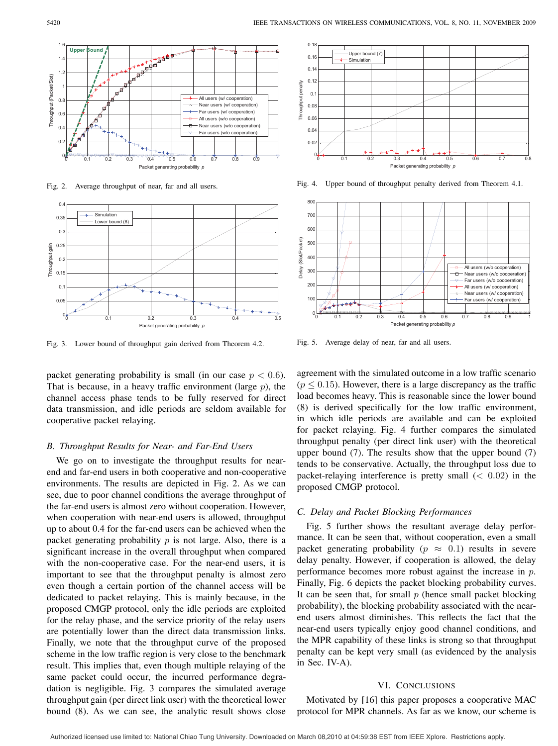

Fig. 2. Average throughput of near, far and all users.



Fig. 3. Lower bound of throughput gain derived from Theorem 4.2.

packet generating probability is small (in our case  $p < 0.6$ ). That is because, in a heavy traffic environment (large  $p$ ), the channel access phase tends to be fully reserved for direct data transmission, and idle periods are seldom available for cooperative packet relaying.

## *B. Throughput Results for Near- and Far-End Users*

We go on to investigate the throughput results for nearend and far-end users in both cooperative and non-cooperative environments. The results are depicted in Fig. 2. As we can see, due to poor channel conditions the average throughput of the far-end users is almost zero without cooperation. However, when cooperation with near-end users is allowed, throughput up to about 0.4 for the far-end users can be achieved when the packet generating probability  $p$  is not large. Also, there is a significant increase in the overall throughput when compared with the non-cooperative case. For the near-end users, it is important to see that the throughput penalty is almost zero even though a certain portion of the channel access will be dedicated to packet relaying. This is mainly because, in the proposed CMGP protocol, only the idle periods are exploited for the relay phase, and the service priority of the relay users are potentially lower than the direct data transmission links. Finally, we note that the throughput curve of the proposed scheme in the low traffic region is very close to the benchmark result. This implies that, even though multiple relaying of the same packet could occur, the incurred performance degradation is negligible. Fig. 3 compares the simulated average throughput gain (per direct link user) with the theoretical lower bound (8). As we can see, the analytic result shows close



Fig. 4. Upper bound of throughput penalty derived from Theorem 4.1.



Fig. 5. Average delay of near, far and all users.

agreement with the simulated outcome in a low traffic scenario  $(p \le 0.15)$ . However, there is a large discrepancy as the traffic load becomes heavy. This is reasonable since the lower bound  $(8)$  is derived specifically for the low traffic environment, in which idle periods are available and can be exploited for packet relaying. Fig. 4 further compares the simulated throughput penalty (per direct link user) with the theoretical upper bound (7). The results show that the upper bound (7) tends to be conservative. Actually, the throughput loss due to packet-relaying interference is pretty small  $( $0.02$ ) in the$ proposed CMGP protocol.

## *C. Delay and Packet Blocking Performances*

Fig. 5 further shows the resultant average delay performance. It can be seen that, without cooperation, even a small packet generating probability ( $p \approx 0.1$ ) results in severe delay penalty. However, if cooperation is allowed, the delay performance becomes more robust against the increase in  $p$ . Finally, Fig. 6 depicts the packet blocking probability curves. It can be seen that, for small  $p$  (hence small packet blocking probability), the blocking probability associated with the nearend users almost diminishes. This reflects the fact that the near-end users typically enjoy good channel conditions, and the MPR capability of these links is strong so that throughput penalty can be kept very small (as evidenced by the analysis in Sec. IV-A).

## VI. CONCLUSIONS

Motivated by [16] this paper proposes a cooperative MAC protocol for MPR channels. As far as we know, our scheme is